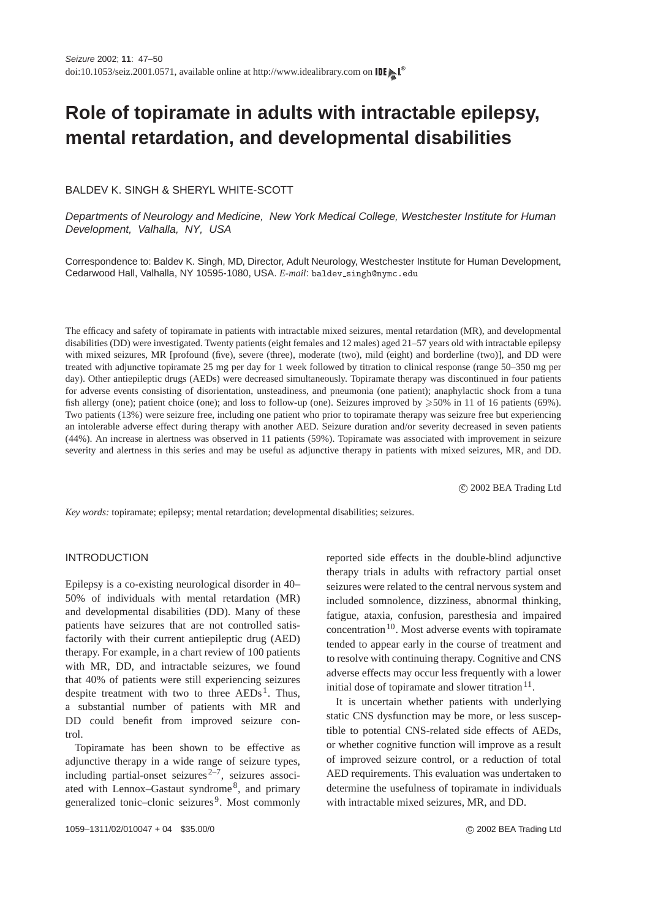# **Role of topiramate in adults with intractable epilepsy, mental retardation, and developmental disabilities**

#### BALDEV K. SINGH & SHERYL WHITE-SCOTT

Departments of Neurology and Medicine, New York Medical College, Westchester Institute for Human Development, Valhalla, NY, USA

Correspondence to: Baldev K. Singh, MD, Director, Adult Neurology, Westchester Institute for Human Development, Cedarwood Hall, Valhalla, NY 10595-1080, USA. *E-mail*: baldev\_singh@nymc.edu

The efficacy and safety of topiramate in patients with intractable mixed seizures, mental retardation (MR), and developmental disabilities (DD) were investigated. Twenty patients (eight females and 12 males) aged 21–57 years old with intractable epilepsy with mixed seizures, MR [profound (five), severe (three), moderate (two), mild (eight) and borderline (two)], and DD were treated with adjunctive topiramate 25 mg per day for 1 week followed by titration to clinical response (range 50–350 mg per day). Other antiepileptic drugs (AEDs) were decreased simultaneously. Topiramate therapy was discontinued in four patients for adverse events consisting of disorientation, unsteadiness, and pneumonia (one patient); anaphylactic shock from a tuna fish allergy (one); patient choice (one); and loss to follow-up (one). Seizures improved by  $\geq 50\%$  in 11 of 16 patients (69%). Two patients (13%) were seizure free, including one patient who prior to topiramate therapy was seizure free but experiencing an intolerable adverse effect during therapy with another AED. Seizure duration and/or severity decreased in seven patients (44%). An increase in alertness was observed in 11 patients (59%). Topiramate was associated with improvement in seizure severity and alertness in this series and may be useful as adjunctive therapy in patients with mixed seizures, MR, and DD.

c 2002 BEA Trading Ltd

*Key words:* topiramate; epilepsy; mental retardation; developmental disabilities; seizures.

#### INTRODUCTION

Epilepsy is a co-existing neurological disorder in 40– 50% of individuals with mental retardation (MR) and developmental disabilities (DD). Many of these patients have seizures that are not controlled satisfactorily with their current antiepileptic drug (AED) therapy. For example, in a chart review of 100 patients with MR, DD, and intractable seizures, we found that 40% of patients were still experiencing seizures despite treatment with two to three  $AEDs<sup>1</sup>$  $AEDs<sup>1</sup>$  $AEDs<sup>1</sup>$ . Thus, a substantial number of patients with MR and DD could benefit from improved seizure control.

Topiramate has been shown to be effective as adjunctive therapy in a wide range of seizure types, including partial-onset seizures<sup>2-7</sup>, seizures associ-ated with Lennox-Gastaut syndrome<sup>[8](#page--1-0)</sup>, and primary generalized tonic–clonic seizures<sup>[9](#page--1-0)</sup>. Most commonly

reported side effects in the double-blind adjunctive therapy trials in adults with refractory partial onset seizures were related to the central nervous system and included somnolence, dizziness, abnormal thinking, fatigue, ataxia, confusion, paresthesia and impaired concentration<sup>[10](#page--1-0)</sup>. Most adverse events with topiramate tended to appear early in the course of treatment and to resolve with continuing therapy. Cognitive and CNS adverse effects may occur less frequently with a lower initial dose of topiramate and slower titration $11$ .

It is uncertain whether patients with underlying static CNS dysfunction may be more, or less susceptible to potential CNS-related side effects of AEDs, or whether cognitive function will improve as a result of improved seizure control, or a reduction of total AED requirements. This evaluation was undertaken to determine the usefulness of topiramate in individuals with intractable mixed seizures, MR, and DD.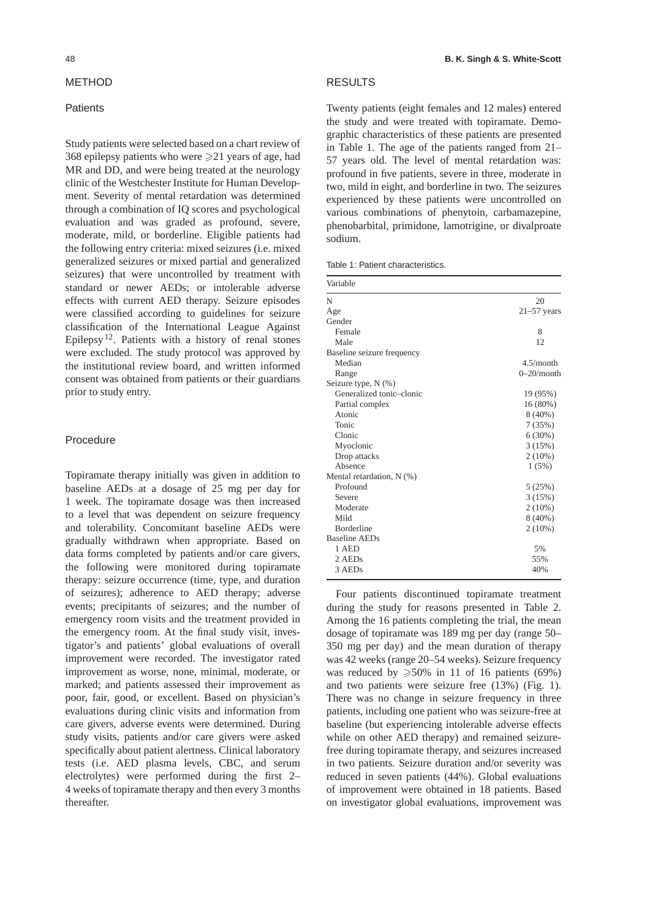#### METHOD

### **Patients**

Study patients were selected based on a chart review of 368 epilepsy patients who were  $\geq 21$  years of age, had MR and DD, and were being treated at the neurology clinic of the Westchester Institute for Human Development. Severity of mental retardation was determined through a combination of IQ scores and psychological evaluation and was graded as profound, severe, moderate, mild, or borderline. Eligible patients had the following entry criteria: mixed seizures (i.e. mixed generalized seizures or mixed partial and generalized seizures) that were uncontrolled by treatment with standard or newer AEDs; or intolerable adverse effects with current AED therapy. Seizure episodes were classified according to guidelines for seizure classification of the International League Against Epilepsy<sup>[12](#page--1-0)</sup>. Patients with a history of renal stones were excluded. The study protocol was approved by the institutional review board, and written informed consent was obtained from patients or their guardians prior to study entry.

### Procedure

Topiramate therapy initially was given in addition to baseline AEDs at a dosage of 25 mg per day for 1 week. The topiramate dosage was then increased to a level that was dependent on seizure frequency and tolerability. Concomitant baseline AEDs were gradually withdrawn when appropriate. Based on data forms completed by patients and/or care givers, the following were monitored during topiramate therapy: seizure occurrence (time, type, and duration of seizures); adherence to AED therapy; adverse events; precipitants of seizures; and the number of emergency room visits and the treatment provided in the emergency room. At the final study visit, investigator's and patients' global evaluations of overall improvement were recorded. The investigator rated improvement as worse, none, minimal, moderate, or marked; and patients assessed their improvement as poor, fair, good, or excellent. Based on physician's evaluations during clinic visits and information from care givers, adverse events were determined. During study visits, patients and/or care givers were asked specifically about patient alertness. Clinical laboratory tests (i.e. AED plasma levels, CBC, and serum electrolytes) were performed during the first 2– 4 weeks of topiramate therapy and then every 3 months thereafter.

#### RESULTS

Twenty patients (eight females and 12 males) entered the study and were treated with topiramate. Demographic characteristics of these patients are presented in Table 1. The age of the patients ranged from 21– 57 years old. The level of mental retardation was: profound in five patients, severe in three, moderate in two, mild in eight, and borderline in two. The seizures experienced by these patients were uncontrolled on various combinations of phenytoin, carbamazepine, phenobarbital, primidone, lamotrigine, or divalproate sodium.

|  |  | Table 1: Patient characteristics. |
|--|--|-----------------------------------|
|--|--|-----------------------------------|

| Variable                   |               |  |
|----------------------------|---------------|--|
| N                          | 20            |  |
| Age                        | $21-57$ years |  |
| Gender                     |               |  |
| Female                     | 8             |  |
| Male                       | 12            |  |
| Baseline seizure frequency |               |  |
| Median                     | 4.5/month     |  |
| Range                      | $0-20/m$ onth |  |
| Seizure type, N (%)        |               |  |
| Generalized tonic-clonic   | 19 (95%)      |  |
| Partial complex            | 16 (80%)      |  |
| Atonic                     | $8(40\%)$     |  |
| Tonic                      | 7(35%)        |  |
| Clonic                     | 6(30%)        |  |
| Myoclonic                  | 3(15%)        |  |
| Drop attacks               | $2(10\%)$     |  |
| Absence                    | 1(5%)         |  |
| Mental retardation, N (%)  |               |  |
| Profound                   | 5(25%)        |  |
| Severe                     | 3(15%)        |  |
| Moderate                   | $2(10\%)$     |  |
| Mild                       | $8(40\%)$     |  |
| <b>Borderline</b>          | $2(10\%)$     |  |
| <b>Baseline AEDs</b>       |               |  |
| 1 AED                      | 5%            |  |
| 2 AEDs                     | 55%           |  |
| 3 AEDs                     | 40%           |  |

Four patients discontinued topiramate treatment during the study for reasons presented in Table [2.](#page--1-0) Among the 16 patients completing the trial, the mean dosage of topiramate was 189 mg per day (range 50– 350 mg per day) and the mean duration of therapy was 42 weeks (range 20–54 weeks). Seizure frequency was reduced by  $\geq 50\%$  in 11 of 16 patients (69%) and two patients were seizure free (13%) (Fig. [1\)](#page--1-0). There was no change in seizure frequency in three patients, including one patient who was seizure-free at baseline (but experiencing intolerable adverse effects while on other AED therapy) and remained seizurefree during topiramate therapy, and seizures increased in two patients. Seizure duration and/or severity was reduced in seven patients (44%). Global evaluations of improvement were obtained in 18 patients. Based on investigator global evaluations, improvement was